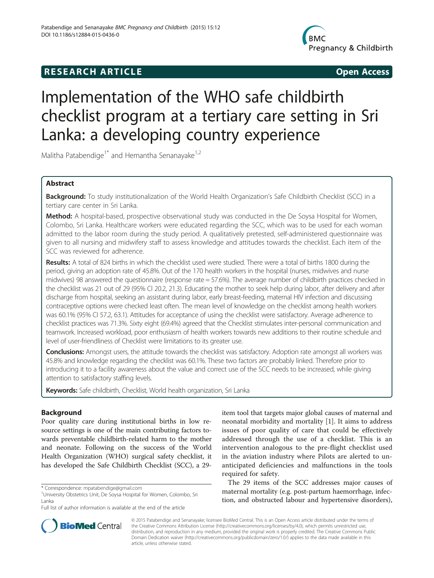# **RESEARCH ARTICLE Example 2014 CONSIDERING CONSIDERING CONSIDERING CONSIDERING CONSIDERING CONSIDERING CONSIDERING CONSIDERING CONSIDERING CONSIDERING CONSIDERING CONSIDERING CONSIDERING CONSIDERING CONSIDERING CONSIDE**



# Implementation of the WHO safe childbirth checklist program at a tertiary care setting in Sri Lanka: a developing country experience

Malitha Patabendige<sup>1\*</sup> and Hemantha Senanayake<sup>1,2</sup>

# Abstract

Background: To study institutionalization of the World Health Organization's Safe Childbirth Checklist (SCC) in a tertiary care center in Sri Lanka.

Method: A hospital-based, prospective observational study was conducted in the De Soysa Hospital for Women, Colombo, Sri Lanka. Healthcare workers were educated regarding the SCC, which was to be used for each woman admitted to the labor room during the study period. A qualitatively pretested, self-administered questionnaire was given to all nursing and midwifery staff to assess knowledge and attitudes towards the checklist. Each item of the SCC was reviewed for adherence.

Results: A total of 824 births in which the checklist used were studied. There were a total of births 1800 during the period, giving an adoption rate of 45.8%. Out of the 170 health workers in the hospital (nurses, midwives and nurse midwives) 98 answered the questionnaire (response rate = 57.6%). The average number of childbirth practices checked in the checklist was 21 out of 29 (95% CI 20.2, 21.3). Educating the mother to seek help during labor, after delivery and after discharge from hospital, seeking an assistant during labor, early breast-feeding, maternal HIV infection and discussing contraceptive options were checked least often. The mean level of knowledge on the checklist among health workers was 60.1% (95% CI 57.2, 63.1). Attitudes for acceptance of using the checklist were satisfactory. Average adherence to checklist practices was 71.3%. Sixty eight (69.4%) agreed that the Checklist stimulates inter-personal communication and teamwork. Increased workload, poor enthusiasm of health workers towards new additions to their routine schedule and level of user-friendliness of Checklist were limitations to its greater use.

Conclusions: Amongst users, the attitude towards the checklist was satisfactory. Adoption rate amongst all workers was 45.8% and knowledge regarding the checklist was 60.1%. These two factors are probably linked. Therefore prior to introducing it to a facility awareness about the value and correct use of the SCC needs to be increased, while giving attention to satisfactory staffing levels.

Keywords: Safe childbirth, Checklist, World health organization, Sri Lanka

## Background

Poor quality care during institutional births in low resource settings is one of the main contributing factors towards preventable childbirth-related harm to the mother and neonate. Following on the success of the World Health Organization (WHO) surgical safety checklist, it has developed the Safe Childbirth Checklist (SCC), a 29item tool that targets major global causes of maternal and neonatal morbidity and mortality [\[1](#page-5-0)]. It aims to address issues of poor quality of care that could be effectively addressed through the use of a checklist. This is an intervention analogous to the pre-flight checklist used in the aviation industry where Pilots are alerted to unanticipated deficiencies and malfunctions in the tools required for safety.

The 29 items of the SCC addresses major causes of maternal mortality (e.g. post-partum haemorrhage, infection, and obstructed labour and hypertensive disorders),



© 2015 Patabendige and Senanayake; licensee BioMed Central. This is an Open Access article distributed under the terms of the Creative Commons Attribution License [\(http://creativecommons.org/licenses/by/4.0\)](http://creativecommons.org/licenses/by/4.0), which permits unrestricted use, distribution, and reproduction in any medium, provided the original work is properly credited. The Creative Commons Public Domain Dedication waiver [\(http://creativecommons.org/publicdomain/zero/1.0/\)](http://creativecommons.org/publicdomain/zero/1.0/) applies to the data made available in this article, unless otherwise stated.

<sup>\*</sup> Correspondence: [mpatabendige@gmail.com](mailto:mpatabendige@gmail.com) <sup>1</sup>

<sup>&</sup>lt;sup>1</sup>University Obstetrics Unit, De Soysa Hospital for Women, Colombo, Sri Lanka

Full list of author information is available at the end of the article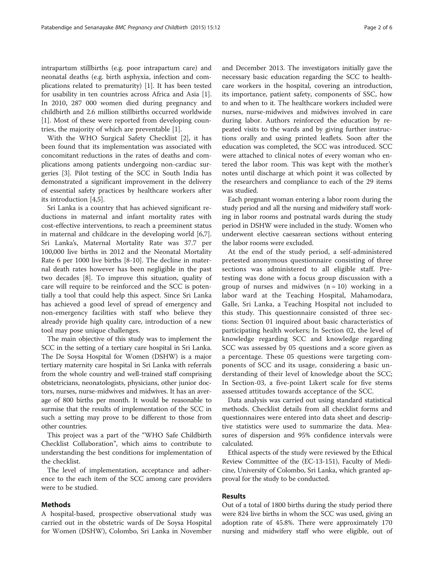intrapartum stillbirths (e.g. poor intrapartum care) and neonatal deaths (e.g. birth asphyxia, infection and complications related to prematurity) [[1\]](#page-5-0). It has been tested for usability in ten countries across Africa and Asia [\[1](#page-5-0)]. In 2010, 287 000 women died during pregnancy and childbirth and 2.6 million stillbirths occurred worldwide [[1\]](#page-5-0). Most of these were reported from developing countries, the majority of which are preventable [\[1](#page-5-0)].

With the WHO Surgical Safety Checklist [\[2](#page-5-0)], it has been found that its implementation was associated with concomitant reductions in the rates of deaths and complications among patients undergoing non-cardiac surgeries [[3\]](#page-5-0). Pilot testing of the SCC in South India has demonstrated a significant improvement in the delivery of essential safety practices by healthcare workers after its introduction [\[4](#page-5-0),[5](#page-5-0)].

Sri Lanka is a country that has achieved significant reductions in maternal and infant mortality rates with cost-effective interventions, to reach a preeminent status in maternal and childcare in the developing world [\[6,7](#page-5-0)]. Sri Lanka's, Maternal Mortality Rate was 37.7 per 100,000 live births in 2012 and the Neonatal Mortality Rate 6 per 1000 live births [\[8](#page-5-0)-[10\]](#page-5-0). The decline in maternal death rates however has been negligible in the past two decades [[8\]](#page-5-0). To improve this situation, quality of care will require to be reinforced and the SCC is potentially a tool that could help this aspect. Since Sri Lanka has achieved a good level of spread of emergency and non-emergency facilities with staff who believe they already provide high quality care, introduction of a new tool may pose unique challenges.

The main objective of this study was to implement the SCC in the setting of a tertiary care hospital in Sri Lanka. The De Soysa Hospital for Women (DSHW) is a major tertiary maternity care hospital in Sri Lanka with referrals from the whole country and well-trained staff comprising obstetricians, neonatologists, physicians, other junior doctors, nurses, nurse-midwives and midwives. It has an average of 800 births per month. It would be reasonable to surmise that the results of implementation of the SCC in such a setting may prove to be different to those from other countries.

This project was a part of the "WHO Safe Childbirth Checklist Collaboration", which aims to contribute to understanding the best conditions for implementation of the checklist.

The level of implementation, acceptance and adherence to the each item of the SCC among care providers were to be studied.

#### Methods

A hospital-based, prospective observational study was carried out in the obstetric wards of De Soysa Hospital for Women (DSHW), Colombo, Sri Lanka in November and December 2013. The investigators initially gave the necessary basic education regarding the SCC to healthcare workers in the hospital, covering an introduction, its importance, patient safety, components of SSC, how to and when to it. The healthcare workers included were nurses, nurse-midwives and midwives involved in care during labor. Authors reinforced the education by repeated visits to the wards and by giving further instructions orally and using printed leaflets. Soon after the education was completed, the SCC was introduced. SCC were attached to clinical notes of every woman who entered the labor room. This was kept with the mother's notes until discharge at which point it was collected by the researchers and compliance to each of the 29 items was studied.

Each pregnant woman entering a labor room during the study period and all the nursing and midwifery staff working in labor rooms and postnatal wards during the study period in DSHW were included in the study. Women who underwent elective caesarean sections without entering the labor rooms were excluded.

At the end of the study period, a self-administered pretested anonymous questionnaire consisting of three sections was administered to all eligible staff. Pretesting was done with a focus group discussion with a group of nurses and midwives  $(n = 10)$  working in a labor ward at the Teaching Hospital, Mahamodara, Galle, Sri Lanka, a Teaching Hospital not included to this study. This questionnaire consisted of three sections: Section 01 inquired about basic characteristics of participating health workers; In Section 02, the level of knowledge regarding SCC and knowledge regarding SCC was assessed by 05 questions and a score given as a percentage. These 05 questions were targeting components of SCC and its usage, considering a basic understanding of their level of knowledge about the SCC; In Section-03, a five-point Likert scale for five stems assessed attitudes towards acceptance of the SCC.

Data analysis was carried out using standard statistical methods. Checklist details from all checklist forms and questionnaires were entered into data sheet and descriptive statistics were used to summarize the data. Measures of dispersion and 95% confidence intervals were calculated.

Ethical aspects of the study were reviewed by the Ethical Review Committee of the (EC-13-151), Faculty of Medicine, University of Colombo, Sri Lanka, which granted approval for the study to be conducted.

#### Results

Out of a total of 1800 births during the study period there were 824 live births in whom the SCC was used, giving an adoption rate of 45.8%. There were approximately 170 nursing and midwifery staff who were eligible, out of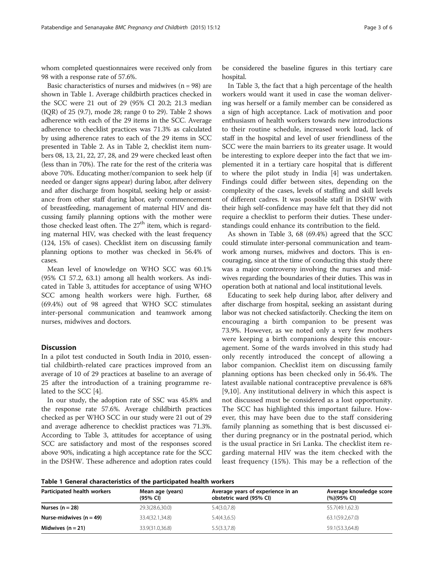whom completed questionnaires were received only from 98 with a response rate of 57.6%.

Basic characteristics of nurses and midwives  $(n = 98)$  are shown in Table 1. Average childbirth practices checked in the SCC were 21 out of 29 (95% CI 20.2; 21.3 median (IQR) of 25 (9.7), mode 28; range 0 to 29). Table [2](#page-3-0) shows adherence with each of the 29 items in the SCC. Average adherence to checklist practices was 71.3% as calculated by using adherence rates to each of the 29 items in SCC presented in Table [2.](#page-3-0) As in Table [2,](#page-3-0) checklist item numbers 08, 13, 21, 22, 27, 28, and 29 were checked least often (less than in 70%). The rate for the rest of the criteria was above 70%. Educating mother/companion to seek help (if needed or danger signs appear) during labor, after delivery and after discharge from hospital, seeking help or assistance from other staff during labor, early commencement of breastfeeding, management of maternal HIV and discussing family planning options with the mother were those checked least often. The  $27<sup>th</sup>$  item, which is regarding maternal HIV, was checked with the least frequency (124, 15% of cases). Checklist item on discussing family planning options to mother was checked in 56.4% of cases.

Mean level of knowledge on WHO SCC was 60.1% (95% CI 57.2, 63.1) among all health workers. As indicated in Table [3,](#page-4-0) attitudes for acceptance of using WHO SCC among health workers were high. Further, 68 (69.4%) out of 98 agreed that WHO SCC stimulates inter-personal communication and teamwork among nurses, midwives and doctors.

### **Discussion**

In a pilot test conducted in South India in 2010, essential childbirth-related care practices improved from an average of 10 of 29 practices at baseline to an average of 25 after the introduction of a training programme related to the SCC [[4\]](#page-5-0).

In our study, the adoption rate of SSC was 45.8% and the response rate 57.6%. Average childbirth practices checked as per WHO SCC in our study were 21 out of 29 and average adherence to checklist practices was 71.3%. According to Table [3,](#page-4-0) attitudes for acceptance of using SCC are satisfactory and most of the responses scored above 90%, indicating a high acceptance rate for the SCC in the DSHW. These adherence and adoption rates could

be considered the baseline figures in this tertiary care hospital.

In Table [3](#page-4-0), the fact that a high percentage of the health workers would want it used in case the woman delivering was herself or a family member can be considered as a sign of high acceptance. Lack of motivation and poor enthusiasm of health workers towards new introductions to their routine schedule, increased work load, lack of staff in the hospital and level of user friendliness of the SCC were the main barriers to its greater usage. It would be interesting to explore deeper into the fact that we implemented it in a tertiary care hospital that is different to where the pilot study in India [\[4](#page-5-0)] was undertaken. Findings could differ between sites, depending on the complexity of the cases, levels of staffing and skill levels of different cadres. It was possible staff in DSHW with their high self-confidence may have felt that they did not require a checklist to perform their duties. These understandings could enhance its contribution to the field.

As shown in Table [3](#page-4-0), 68 (69.4%) agreed that the SCC could stimulate inter-personal communication and teamwork among nurses, midwives and doctors. This is encouraging, since at the time of conducting this study there was a major controversy involving the nurses and midwives regarding the boundaries of their duties. This was in operation both at national and local institutional levels.

Educating to seek help during labor, after delivery and after discharge from hospital, seeking an assistant during labor was not checked satisfactorily. Checking the item on encouraging a birth companion to be present was 73.9%. However, as we noted only a very few mothers were keeping a birth companions despite this encouragement. Some of the wards involved in this study had only recently introduced the concept of allowing a labor companion. Checklist item on discussing family planning options has been checked only in 56.4%. The latest available national contraceptive prevalence is 68% [[9,10](#page-5-0)]. Any institutional delivery in which this aspect is not discussed must be considered as a lost opportunity. The SCC has highlighted this important failure. However, this may have been due to the staff considering family planning as something that is best discussed either during pregnancy or in the postnatal period, which is the usual practice in Sri Lanka. The checklist item regarding maternal HIV was the item checked with the least frequency (15%). This may be a reflection of the

Table 1 General characteristics of the participated health workers

| Participated health workers | Mean age (years)<br>(95% CI) | Average years of experience in an<br>obstetric ward (95% CI) | Average knowledge score<br>$(%)$ (95% CI) |  |  |  |
|-----------------------------|------------------------------|--------------------------------------------------------------|-------------------------------------------|--|--|--|
| Nurses ( $n = 28$ )         | 29.3(28.6,30.0)              | 5.4(3.0, 7.8)                                                | 55.7(49.1,62.3)                           |  |  |  |
| Nurse-midwives $(n = 49)$   | 33.4(32.1,34.8)              | 5.4(4.3,6.5)                                                 | 63.1(59.2,67.0)                           |  |  |  |
| Midwives $(n = 21)$         | 33.9(31.0,36.8)              | 5.5(3.3.7.8)                                                 | 59.1(53.3,64.8)                           |  |  |  |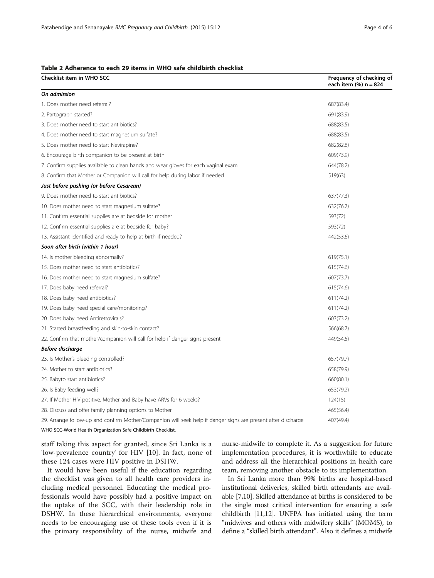#### <span id="page-3-0"></span>Table 2 Adherence to each 29 items in WHO safe childbirth checklist

| Checklist item in WHO SCC                                                                                     | Frequency of checking of<br>each item (%) n = 824 |  |
|---------------------------------------------------------------------------------------------------------------|---------------------------------------------------|--|
| On admission                                                                                                  |                                                   |  |
| 1. Does mother need referral?                                                                                 | 687(83.4)                                         |  |
| 2. Partograph started?                                                                                        | 691(83.9)                                         |  |
| 3. Does mother need to start antibiotics?                                                                     | 688(83.5)                                         |  |
| 4. Does mother need to start magnesium sulfate?                                                               | 688(83.5)                                         |  |
| 5. Does mother need to start Nevirapine?                                                                      | 682(82.8)                                         |  |
| 6. Encourage birth companion to be present at birth                                                           | 609(73.9)                                         |  |
| 7. Confirm supplies available to clean hands and wear gloves for each vaginal exam                            | 644(78.2)                                         |  |
| 8. Confirm that Mother or Companion will call for help during labor if needed                                 | 519(63)                                           |  |
| Just before pushing (or before Cesarean)                                                                      |                                                   |  |
| 9. Does mother need to start antibiotics?                                                                     | 637(77.3)                                         |  |
| 10. Does mother need to start magnesium sulfate?                                                              | 632(76.7)                                         |  |
| 11. Confirm essential supplies are at bedside for mother                                                      | 593(72)                                           |  |
| 12. Confirm essential supplies are at bedside for baby?                                                       | 593(72)                                           |  |
| 13. Assistant identified and ready to help at birth if needed?                                                | 442(53.6)                                         |  |
| Soon after birth (within 1 hour)                                                                              |                                                   |  |
| 14. Is mother bleeding abnormally?                                                                            | 619(75.1)                                         |  |
| 15. Does mother need to start antibiotics?                                                                    | 615(74.6)                                         |  |
| 16. Does mother need to start magnesium sulfate?                                                              | 607(73.7)                                         |  |
| 17. Does baby need referral?                                                                                  | 615(74.6)                                         |  |
| 18. Does baby need antibiotics?                                                                               | 611(74.2)                                         |  |
| 19. Does baby need special care/monitoring?                                                                   | 611(74.2)                                         |  |
| 20. Does baby need Antiretrovirals?                                                                           | 603(73.2)                                         |  |
| 21. Started breastfeeding and skin-to-skin contact?                                                           | 566(68.7)                                         |  |
| 22. Confirm that mother/companion will call for help if danger signs present                                  | 449(54.5)                                         |  |
| Before discharge                                                                                              |                                                   |  |
| 23. Is Mother's bleeding controlled?                                                                          | 657(79.7)                                         |  |
| 24. Mother to start antibiotics?                                                                              | 658(79.9)                                         |  |
| 25. Babyto start antibiotics?                                                                                 | 660(80.1)                                         |  |
| 26. Is Baby feeding well?                                                                                     | 653(79.2)                                         |  |
| 27. If Mother HIV positive, Mother and Baby have ARVs for 6 weeks?                                            | 124(15)                                           |  |
| 28. Discuss and offer family planning options to Mother                                                       | 465(56.4)                                         |  |
| 29. Arrange follow-up and confirm Mother/Companion will seek help if danger signs are present after discharge | 407(49.4)                                         |  |

WHO SCC-World Health Organization Safe Childbirth Checklist.

staff taking this aspect for granted, since Sri Lanka is a 'low-prevalence country' for HIV [\[10](#page-5-0)]. In fact, none of these 124 cases were HIV positive in DSHW.

It would have been useful if the education regarding the checklist was given to all health care providers including medical personnel. Educating the medical professionals would have possibly had a positive impact on the uptake of the SCC, with their leadership role in DSHW. In these hierarchical environments, everyone needs to be encouraging use of these tools even if it is the primary responsibility of the nurse, midwife and

nurse-midwife to complete it. As a suggestion for future implementation procedures, it is worthwhile to educate and address all the hierarchical positions in health care team, removing another obstacle to its implementation.

In Sri Lanka more than 99% births are hospital-based institutional deliveries, skilled birth attendants are available [[7,10](#page-5-0)]. Skilled attendance at births is considered to be the single most critical intervention for ensuring a safe childbirth [[11,12](#page-5-0)]. UNFPA has initiated using the term "midwives and others with midwifery skills" (MOMS), to define a "skilled birth attendant". Also it defines a midwife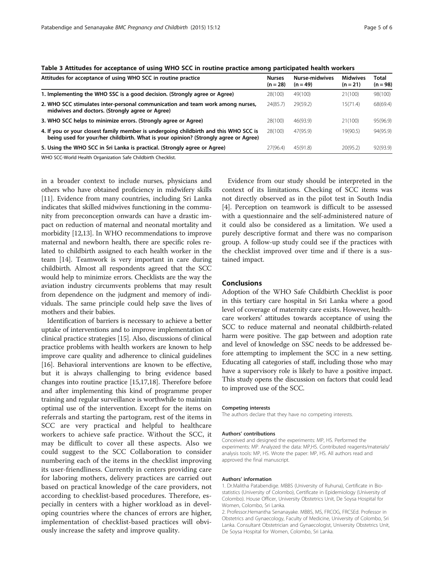| Attitudes for acceptance of using WHO SCC in routine practice                                                                                                               | <b>Nurses</b><br>$(n = 28)$ | Nurse-midwives<br>$(n = 49)$ | <b>Midwives</b><br>$(n = 21)$ | Total<br>$(n = 98)$ |
|-----------------------------------------------------------------------------------------------------------------------------------------------------------------------------|-----------------------------|------------------------------|-------------------------------|---------------------|
| 1. Implementing the WHO SSC is a good decision. (Strongly agree or Agree)                                                                                                   | 28(100)                     | 49(100)                      | 21(100)                       | 98(100)             |
| 2. WHO SCC stimulates inter-personal communication and team work among nurses,<br>midwives and doctors. (Strongly agree or Agree)                                           | 24(85.7)                    | 29(59.2)                     | 15(71.4)                      | 68(69.4)            |
| 3. WHO SCC helps to minimize errors. (Strongly agree or Agree)                                                                                                              | 28(100)                     | 46(93.9)                     | 21(100)                       | 95(96.9)            |
| 4. If you or your closest family member is undergoing childbirth and this WHO SCC is<br>being used for your/her childbirth. What is your opinion? (Strongly agree or Agree) | 28(100)                     | 47(95.9)                     | 19(90.5)                      | 94(95.9)            |
| 5. Using the WHO SCC in Sri Lanka is practical. (Strongly agree or Agree)                                                                                                   | 27(96.4)                    | 45(91.8)                     | 20(95.2)                      | 92(93.9)            |

#### <span id="page-4-0"></span>Table 3 Attitudes for acceptance of using WHO SCC in routine practice among participated health workers

WHO SCC-World Health Organization Safe Childbirth Checklist.

in a broader context to include nurses, physicians and others who have obtained proficiency in midwifery skills [[11](#page-5-0)]. Evidence from many countries, including Sri Lanka indicates that skilled midwives functioning in the community from preconception onwards can have a drastic impact on reduction of maternal and neonatal mortality and morbidity [\[12,13](#page-5-0)]. In WHO recommendations to improve maternal and newborn health, there are specific roles related to childbirth assigned to each health worker in the team [\[14](#page-5-0)]. Teamwork is very important in care during childbirth. Almost all respondents agreed that the SCC would help to minimize errors. Checklists are the way the aviation industry circumvents problems that may result from dependence on the judgment and memory of individuals. The same principle could help save the lives of mothers and their babies.

Identification of barriers is necessary to achieve a better uptake of interventions and to improve implementation of clinical practice strategies [\[15](#page-5-0)]. Also, discussions of clinical practice problems with health workers are known to help improve care quality and adherence to clinical guidelines [[16](#page-5-0)]. Behavioral interventions are known to be effective, but it is always challenging to bring evidence based changes into routine practice [\[15,17,18](#page-5-0)]. Therefore before and after implementing this kind of programme proper training and regular surveillance is worthwhile to maintain optimal use of the intervention. Except for the items on referrals and starting the partogram, rest of the items in SCC are very practical and helpful to healthcare workers to achieve safe practice. Without the SCC, it may be difficult to cover all these aspects. Also we could suggest to the SCC Collaboration to consider numbering each of the items in the checklist improving its user-friendliness. Currently in centers providing care for laboring mothers, delivery practices are carried out based on practical knowledge of the care providers, not according to checklist-based procedures. Therefore, especially in centers with a higher workload as in developing countries where the chances of errors are higher, implementation of checklist-based practices will obviously increase the safety and improve quality.

Evidence from our study should be interpreted in the context of its limitations. Checking of SCC items was not directly observed as in the pilot test in South India [[4\]](#page-5-0). Perception on teamwork is difficult to be assessed with a questionnaire and the self-administered nature of it could also be considered as a limitation. We used a purely descriptive format and there was no comparison group. A follow-up study could see if the practices with the checklist improved over time and if there is a sustained impact.

#### **Conclusions**

Adoption of the WHO Safe Childbirth Checklist is poor in this tertiary care hospital in Sri Lanka where a good level of coverage of maternity care exists. However, healthcare workers' attitudes towards acceptance of using the SCC to reduce maternal and neonatal childbirth-related harm were positive. The gap between and adoption rate and level of knowledge on SSC needs to be addressed before attempting to implement the SCC in a new setting. Educating all categories of staff, including those who may have a supervisory role is likely to have a positive impact. This study opens the discussion on factors that could lead to improved use of the SCC.

#### Competing interests

The authors declare that they have no competing interests.

#### Authors' contributions

Conceived and designed the experiments: MP, HS. Performed the experiments: MP. Analyzed the data: MP,HS. Contributed reagents/materials/ analysis tools: MP, HS. Wrote the paper: MP, HS. All authors read and approved the final manuscript.

#### Authors' information

1. Dr.Malitha Patabendige. MBBS (University of Ruhuna), Certificate in Biostatistics (University of Colombo), Certificate in Epidemiology (University of Colombo). House Officer, University Obstetrics Unit, De Soysa Hospital for Women, Colombo, Sri Lanka.

2. Professor.Hemantha Senanayake. MBBS, MS, FRCOG, FRCSEd. Professor in Obstetrics and Gynaecology, Faculty of Medicine, University of Colombo, Sri Lanka. Consultant Obstetrician and Gynaecologist, University Obstetrics Unit, De Soysa Hospital for Women, Colombo, Sri Lanka.